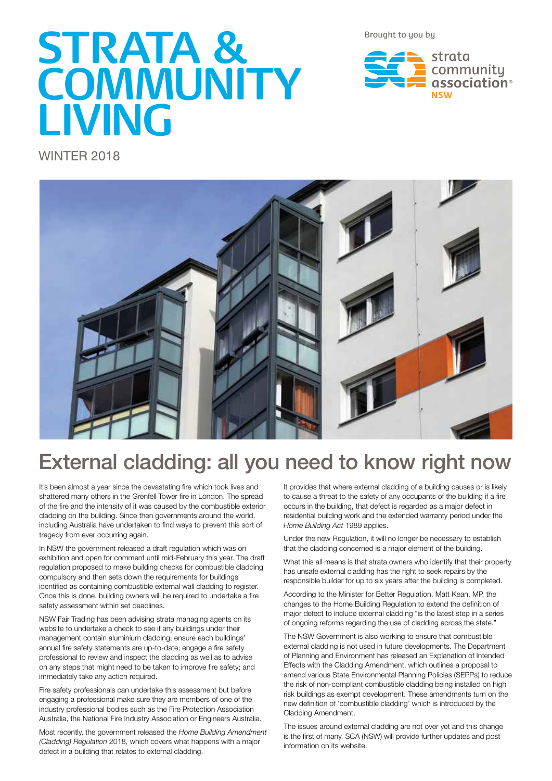Brought to you by

# **STRATA & COMMUNITY LIVING**

strata community association®

WINTER 2018



## External cladding: all you need to know right now

It's been almost a year since the devastating fire which took lives and shattered many others in the Grenfell Tower fire in London. The spread of the fire and the intensity of it was caused by the combustible exterior cladding on the building. Since then governments around the world, including Australia have undertaken to find ways to prevent this sort of tragedy from ever occurring again.

In NSW the government released a draft regulation which was on exhibition and open for comment until mid-February this year. The draft regulation proposed to make building checks for combustible cladding compulsory and then sets down the requirements for buildings identified as containing combustible external wall cladding to register. Once this is done, building owners will be required to undertake a fire safety assessment within set deadlines.

NSW Fair Trading has been advising strata managing agents on its website to undertake a check to see if any buildings under their management contain aluminium cladding; ensure each buildings' annual fire safety statements are up-to-date; engage a fire safety professional to review and inspect the cladding as well as to advise on any steps that might need to be taken to improve fire safety; and immediately take any action required.

Fire safety professionals can undertake this assessment but before engaging a professional make sure they are members of one of the industry professional bodies such as the Fire Protection Association Australia, the National Fire Industry Association or Engineers Australia.

Most recently, the government released the *Home Building Amendment (Cladding) Regulation* 2018, which covers what happens with a major defect in a building that relates to external cladding.

It provides that where external cladding of a building causes or is likely to cause a threat to the safety of any occupants of the building if a fire occurs in the building, that defect is regarded as a major defect in residential building work and the extended warranty period under the *Home Building Act* 1989 applies.

Under the new Regulation, it will no longer be necessary to establish that the cladding concerned is a major element of the building.

What this all means is that strata owners who identify that their property has unsafe external cladding has the right to seek repairs by the responsible builder for up to six years after the building is completed.

According to the Minister for Better Regulation, Matt Kean, MP, the changes to the Home Building Regulation to extend the definition of major defect to include external cladding "is the latest step in a series of ongoing reforms regarding the use of cladding across the state."

The NSW Government is also working to ensure that combustible external cladding is not used in future developments. The Department of Planning and Environment has released an Explanation of Intended Effects with the Cladding Amendment, which outlines a proposal to amend various State Environmental Planning Policies (SEPPs) to reduce the risk of non-compliant combustible cladding being installed on high risk buildings as exempt development. These amendments turn on the new definition of 'combustible cladding' which is introduced by the Cladding Amendment.

The issues around external cladding are not over yet and this change is the first of many. SCA (NSW) will provide further updates and post information on its website.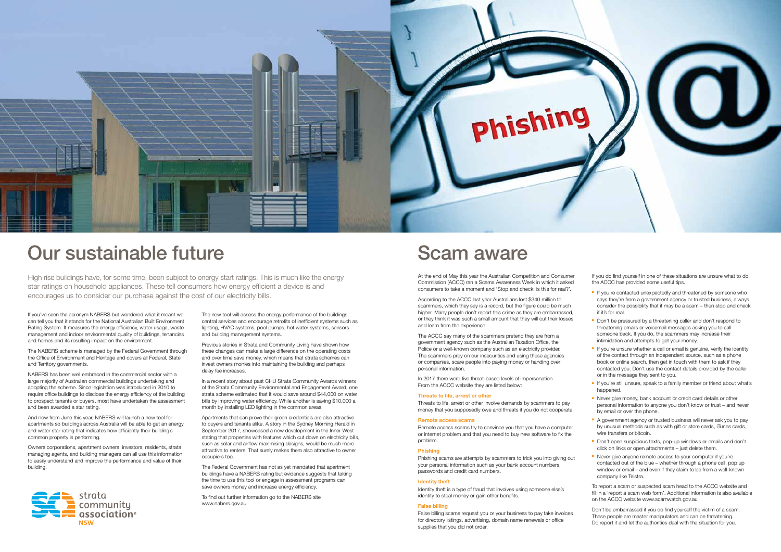

## Our sustainable future Scam aware

If you've seen the acronym NABERS but wondered what it meant we can tell you that it stands for the National Australian Built Environment Rating System. It measures the energy efficiency, water usage, waste management and indoor environmental quality of buildings, tenancies and homes and its resulting impact on the environment.

The NABERS scheme is managed by the Federal Government through the Office of Environment and Heritage and covers all Federal, State and Territory governments.

NABERS has been well embraced in the commercial sector with a large majority of Australian commercial buildings undertaking and adopting the scheme. Since legislation was introduced in 2010 to require office buildings to disclose the energy efficiency of the building to prospect tenants or buyers, most have undertaken the assessment and been awarded a star rating.

And now from June this year, NABERS will launch a new tool for apartments so buildings across Australia will be able to get an energy and water star rating that indicates how efficiently their building's common property is performing.

Owners corporations, apartment owners, investors, residents, strata managing agents, and building managers can all use this information to easily understand and improve the performance and value of their building.



The new tool will assess the energy performance of the buildings central services and encourage retrofits of inefficient systems such as lighting, HVAC systems, pool pumps, hot water systems, sensors and building management systems.

Previous stories in Strata and Community Living have shown how these changes can make a large difference on the operating costs and over time save money, which means that strata schemes can invest owners monies into maintaining the building and perhaps delay fee increases.

In a recent story about past CHU Strata Community Awards winners of the Strata Community Environmental and Engagement Award, one strata scheme estimated that it would save around \$44,000 on water bills by improving water efficiency. While another is saving \$10,000 a month by installing LED lighting in the common areas.

> Identity theft is a type of fraud that involves using someone else's identity to steal money or gain other benefits.

Apartments that can prove their green credentials are also attractive to buyers and tenants alike. A story in the Sydney Morning Herald in September 2017, showcased a new development in the Inner West stating that properties with features which cut down on electricity bills, such as solar and airflow maximising designs, would be much more attractive to renters. That surely makes them also attractive to owner occupiers too.

The Federal Government has not as yet mandated that apartment buildings have a NABERS rating but evidence suggests that taking the time to use this tool or engage in assessment programs can save owners money and increase energy efficiency.

To find out further information go to the NABERS site www.nabers.gov.au

At the end of May this year the Australian Competition and Consumer Commission (ACCC) ran a Scams Awareness Week in which it asked consumers to take a moment and 'Stop and check: is this for real?'.

- **n** If you're contacted unexpectedly and threatened by someone who says they're from a government agency or trusted business, always consider the possibility that it may be a scam – then stop and check if it's for real.
- Don't be pressured by a threatening caller and don't respond to threatening emails or voicemail messages asking you to call someone back. If you do, the scammers may increase their intimidation and attempts to get your money.
- $\blacksquare$  If you're unsure whether a call or email is genuine, verify the identity of the contact through an independent source, such as a phone book or online search, then get in touch with them to ask if they contacted you. Don't use the contact details provided by the caller or in the message they sent to you.
- **F** If you're still unsure, speak to a family member or friend about what's happened.
- **Never give money, bank account or credit card details or other** personal information to anyone you don't know or trust – and never by email or over the phone.
- A government agency or trusted business will never ask you to pay by unusual methods such as with gift or store cards, iTunes cards, wire transfers or bitcoin.
- Don't open suspicious texts, pop-up windows or emails and don't click on links or open attachments – just delete them.
- **Never give anyone remote access to your computer if you're** contacted out of the blue – whether through a phone call, pop up window or email – and even if they claim to be from a well-known company like Telstra.

According to the ACCC last year Australians lost \$340 million to scammers, which they say is a record, but the figure could be much higher. Many people don't report this crime as they are embarrassed, or they think it was such a small amount that they will cut their losses and learn from the experience.

The ACCC say many of the scammers pretend they are from a government agency such as the Australian Taxation Office, the Police or a well-known company such as an electricity provider. The scammers prey on our insecurities and using these agencies or companies, scare people into paying money or handing over personal information.

In 2017 there were five threat-based levels of impersonation. From the ACCC website they are listed below:

#### **Threats to life, arrest or other**

Threats to life, arrest or other involve demands by scammers to pay money that you supposedly owe and threats if you do not cooperate.

#### **Remote access scams**

Remote access scams try to convince you that you have a computer or internet problem and that you need to buy new software to fix the problem.

#### **Phishing**

Phishing scams are attempts by scammers to trick you into giving out your personal information such as your bank account numbers, passwords and credit card numbers.

#### **Identity theft**

#### **False billing**

False billing scams request you or your business to pay fake invoices for directory listings, advertising, domain name renewals or office supplies that you did not order.

If you do find yourself in one of these situations are unsure what to do, the ACCC has provided some useful tips.

To report a scam or suspected scam head to the ACCC website and fill in a 'report a scam web form'. Additional information is also available on the ACCC website www.scamwatch.gov.au

Don't be embarrassed if you do find yourself the victim of a scam. These people are master manipulators and can be threatening. Do report it and let the authorities deal with the situation for you.

High rise buildings have, for some time, been subject to energy start ratings. This is much like the energy star ratings on household appliances. These tell consumers how energy efficient a device is and encourages us to consider our purchase against the cost of our electricity bills.